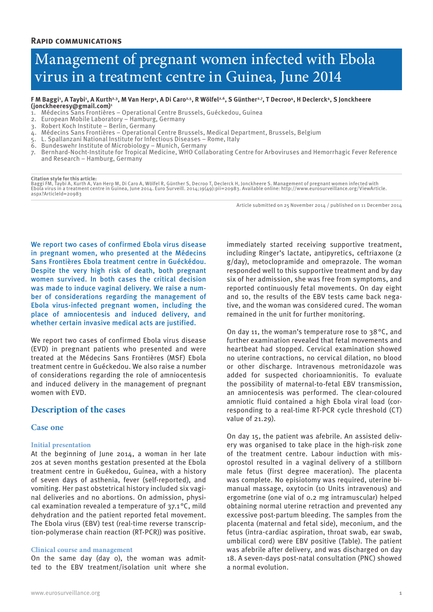# Management of pregnant women infected with Ebola virus in a treatment centre in Guinea, June 2014

#### F M Baggi<sup>1</sup>, A Taybi<sup>1</sup>, A Kurth<sup>2,3</sup>, M Van Herp4, A Di Caro<sup>2,5</sup>, R Wölfel<sup>2,6</sup>, S Günther<sup>2,7</sup>, T Decroo4, H Declerck4, S Jonckheere **(jonckheeresy@gmail.com)1**

- 1. Médecins Sans Frontières Operational Centre Brussels, Guéckedou, Guinea
- 2. European Mobile Laboratory Hamburg, Germany
- 3. Robert Koch Institute Berlin, Germany
- 4. Médecins Sans Frontières Operational Centre Brussels, Medical Department, Brussels, Belgium
- 5. L. Spallanzani National Institute for Infectious Diseases Rome, Italy
- 6. Bundeswehr Institute of Microbiology Munich, Germany
- 7. Bernhard-Nocht-Institute for Tropical Medicine, WHO Collaborating Centre for Arboviruses and Hemorrhagic Fever Reference and Research – Hamburg, Germany

**Citation style for this article:** Baggi FM, Taybi A, Kurth A, Van Herp M, Di Caro A, Wölfel R, Günther S, Decroo T, Declerck H, Jonckheere S. Management of pregnant women infected with<br>Ebola virus in a treatment centre in Guinea, June 2014. Euro Surveill.

Article submitted on 25 November 2014 / published on 11 December 2014

We report two cases of confirmed Ebola virus disease in pregnant women, who presented at the Médecins Sans Frontières Ebola treatment centre in Guéckédou. Despite the very high risk of death, both pregnant women survived. In both cases the critical decision was made to induce vaginal delivery. We raise a number of considerations regarding the management of Ebola virus-infected pregnant women, including the place of amniocentesis and induced delivery, and whether certain invasive medical acts are justified.

We report two cases of confirmed Ebola virus disease (EVD) in pregnant patients who presented and were treated at the Médecins Sans Frontières (MSF) Ebola treatment centre in Guéckedou. We also raise a number of considerations regarding the role of amniocentesis and induced delivery in the management of pregnant women with EVD.

# **Description of the cases**

# **Case one**

#### **Initial presentation**

At the beginning of June 2014, a woman in her late 20s at seven months gestation presented at the Ebola treatment centre in Guékedou, Guinea, with a history of seven days of asthenia, fever (self-reported), and vomiting. Her past obstetrical history included six vaginal deliveries and no abortions. On admission, physical examination revealed a temperature of 37.1 °C, mild dehydration and the patient reported fetal movement. The Ebola virus (EBV) test (real-time reverse transcription-polymerase chain reaction (RT-PCR)) was positive.

#### **Clinical course and management**

On the same day (day 0), the woman was admitted to the EBV treatment/isolation unit where she immediately started receiving supportive treatment, including Ringer's lactate, antipyretics, ceftriaxone (2 g/day), metoclopramide and omeprazole. The woman responded well to this supportive treatment and by day six of her admission, she was free from symptoms, and reported continuously fetal movements. On day eight and 10, the results of the EBV tests came back negative, and the woman was considered cured. The woman remained in the unit for further monitoring.

On day 11, the woman's temperature rose to 38°C, and further examination revealed that fetal movements and heartbeat had stopped. Cervical examination showed no uterine contractions, no cervical dilation, no blood or other discharge. Intravenous metronidazole was added for suspected chorioamnionitis. To evaluate the possibility of maternal-to-fetal EBV transmission, an amniocentesis was performed. The clear-coloured amniotic fluid contained a high Ebola viral load (corresponding to a real-time RT-PCR cycle threshold (CT) value of 21.29).

On day 15, the patient was afebrile. An assisted delivery was organised to take place in the high-risk zone of the treatment centre. Labour induction with misoprostol resulted in a vaginal delivery of a stillborn male fetus (first degree maceration). The placenta was complete. No episiotomy was required, uterine bimanual massage, oxytocin (10 Units intravenous) and ergometrine (one vial of 0.2 mg intramuscular) helped obtaining normal uterine retraction and prevented any excessive post-partum bleeding. The samples from the placenta (maternal and fetal side), meconium, and the fetus (intra-cardiac aspiration, throat swab, ear swab, umbilical cord) were EBV positive (Table). The patient was afebrile after delivery, and was discharged on day 18. A seven-days post-natal consultation (PNC) showed a normal evolution.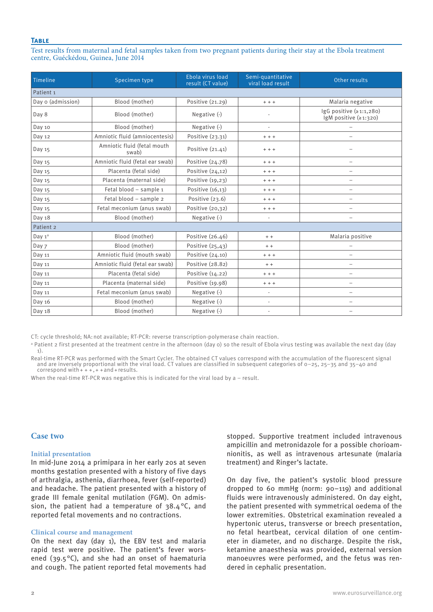### **Table**

Test results from maternal and fetal samples taken from two pregnant patients during their stay at the Ebola treatment centre, Guéckédou, Guinea, June 2014

| Timeline             | Specimen type                        | Ebola virus load<br>result (CT value) | Semi-quantitative<br>viral load result | Other results                                          |
|----------------------|--------------------------------------|---------------------------------------|----------------------------------------|--------------------------------------------------------|
| Patient <sub>1</sub> |                                      |                                       |                                        |                                                        |
| Day o (admission)    | Blood (mother)                       | Positive (21.29)                      | $+ + +$                                | Malaria negative                                       |
| Day 8                | Blood (mother)                       | Negative (-)                          |                                        | $\lg G$ positive $(21:1,280)$<br>IgM positive (≥1:320) |
| Day 10               | Blood (mother)                       | Negative (-)                          | $\overline{\phantom{m}}$               |                                                        |
| Day 12               | Amniotic fluid (amniocentesis)       | Positive (23.31)                      | $+ + +$                                | $\overline{\phantom{0}}$                               |
| Day 15               | Amniotic fluid (fetal mouth<br>swab) | Positive $(21.41)$                    | $+ + +$                                |                                                        |
| Day 15               | Amniotic fluid (fetal ear swab)      | Positive (24.78)                      | $+ + +$                                | $\qquad \qquad -$                                      |
| Day 15               | Placenta (fetal side)                | Positive $(24,12)$                    | $+ + +$                                | $\overline{\phantom{0}}$                               |
| Day 15               | Placenta (maternal side)             | Positive (19,23)                      | $+ + +$                                | $\overline{\phantom{0}}$                               |
| Day 15               | Fetal blood - sample 1               | Positive (16,13)                      | $+ + +$                                | $\overline{\phantom{0}}$                               |
| Day 15               | Fetal blood - sample 2               | Positive $(23.6)$                     | $+ + +$                                | -                                                      |
| Day 15               | Fetal meconium (anus swab)           | Positive (20,32)                      | $+ + +$                                | $\overline{\phantom{0}}$                               |
| Day 18               | Blood (mother)                       | Negative (-)                          | $\overline{\phantom{m}}$               | $\overline{\phantom{0}}$                               |
| Patient 2            |                                      |                                       |                                        |                                                        |
| Day $1^a$            | Blood (mother)                       | Positive (26.46)                      | $+ +$                                  | Malaria positive                                       |
| Day 7                | Blood (mother)                       | Positive $(25, 43)$                   | $+ +$                                  |                                                        |
| Day 11               | Amniotic fluid (mouth swab)          | Positive $(24.10)$                    | $+ + +$                                | $\qquad \qquad -$                                      |
| Day 11               | Amniotic fluid (fetal ear swab)      | Positive (28.82)                      | $+ +$                                  |                                                        |
| Day 11               | Placenta (fetal side)                | Positive (14.22)                      | $+ + +$                                | $\overline{\phantom{0}}$                               |
| Day 11               | Placenta (maternal side)             | Positive (19.98)                      | $+ + +$                                | $\overline{\phantom{0}}$                               |
| Day 11               | Fetal meconium (anus swab)           | Negative (-)                          | $\frac{1}{2}$                          | $\overline{\phantom{0}}$                               |
| Day 16               | Blood (mother)                       | Negative (-)                          | ÷,                                     | $\overline{\phantom{m}}$                               |
| Day 18               | Blood (mother)                       | Negative (-)                          | $\overline{\phantom{a}}$               | $\overline{\phantom{0}}$                               |

CT: cycle threshold; NA:not available; RT-PCR: reverse transcription-polymerase chain reaction.

a Patient 2 first presented at the treatment centre in the afternoon (day 0) so the result of Ebola virus testing was available the next day (day 1).

Real-time RT-PCR was performed with the Smart Cycler. The obtained CT values correspond with the accumulation of the fluorescent signal and are inversely proportional with the viral load. CT values are classified in subsequent categories of 0–25, 25–35 and 35–40 and correspond with  $+++$ ,  $++$  and  $+$  results.

When the real-time RT-PCR was negative this is indicated for the viral load by a – result.

#### **Case two**

#### **Initial presentation**

In mid-June 2014 a primipara in her early 20s at seven months gestation presented with a history of five days of arthralgia, asthenia, diarrhoea, fever (self-reported) and headache. The patient presented with a history of grade III female genital mutilation (FGM). On admission, the patient had a temperature of 38.4°C, and reported fetal movements and no contractions.

#### **Clinical course and management**

On the next day (day 1), the EBV test and malaria rapid test were positive. The patient's fever worsened (39.5 $\degree$ C), and she had an onset of haematuria and cough. The patient reported fetal movements had stopped. Supportive treatment included intravenous ampicillin and metronidazole for a possible chorioamnionitis, as well as intravenous artesunate (malaria treatment) and Ringer's lactate.

On day five, the patient's systolic blood pressure dropped to 60 mmHg (norm: 90–119) and additional fluids were intravenously administered. On day eight, the patient presented with symmetrical oedema of the lower extremities. Obstetrical examination revealed a hypertonic uterus, transverse or breech presentation, no fetal heartbeat, cervical dilation of one centimeter in diameter, and no discharge. Despite the risk, ketamine anaesthesia was provided, external version manoeuvres were performed, and the fetus was rendered in cephalic presentation.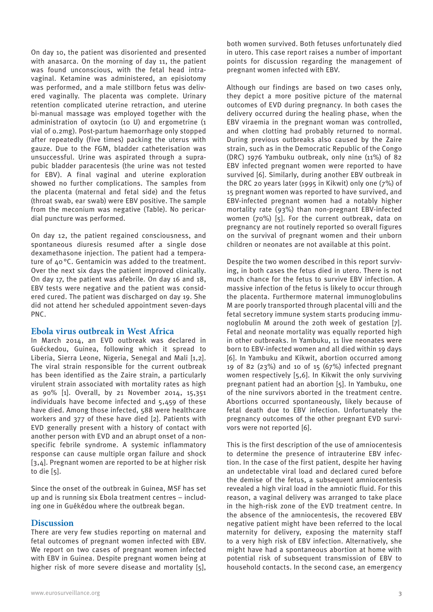On day 10, the patient was disoriented and presented with anasarca. On the morning of day 11, the patient was found unconscious, with the fetal head intravaginal. Ketamine was administered, an episiotomy was performed, and a male stillborn fetus was delivered vaginally. The placenta was complete. Urinary retention complicated uterine retraction, and uterine bi-manual massage was employed together with the administration of oxytocin (10 U) and ergometrine (1 vial of 0.2mg). Post-partum haemorrhage only stopped after repeatedly (five times) packing the uterus with gauze. Due to the FGM, bladder catheterisation was unsuccessful. Urine was aspirated through a suprapubic bladder paracentesis (the urine was not tested for EBV). A final vaginal and uterine exploration showed no further complications. The samples from the placenta (maternal and fetal side) and the fetus (throat swab, ear swab) were EBV positive. The sample from the meconium was negative (Table). No pericardial puncture was performed.

On day 12, the patient regained consciousness, and spontaneous diuresis resumed after a single dose dexamethasone injection. The patient had a temperature of 40°C. Gentamicin was added to the treatment. Over the next six days the patient improved clinically. On day 17, the patient was afebrile. On day 16 and 18, EBV tests were negative and the patient was considered cured. The patient was discharged on day 19. She did not attend her scheduled appointment seven-days PNC.

# **Ebola virus outbreak in West Africa**

In March 2014, an EVD outbreak was declared in Guéckedou, Guinea, following which it spread to Liberia, Sierra Leone, Nigeria, Senegal and Mali [1,2]. The viral strain responsible for the current outbreak has been identified as the Zaire strain, a particularly virulent strain associated with mortality rates as high as 90% [1]. Overall, by 21 November 2014, 15,351 individuals have become infected and 5,459 of these have died. Among those infected, 588 were healthcare workers and 377 of these have died [2]. Patients with EVD generally present with a history of contact with another person with EVD and an abrupt onset of a nonspecific febrile syndrome. A systemic inflammatory response can cause multiple organ failure and shock [3,4]. Pregnant women are reported to be at higher risk to die [5].

Since the onset of the outbreak in Guinea, MSF has set up and is running six Ebola treatment centres – including one in Guékédou where the outbreak began.

# **Discussion**

There are very few studies reporting on maternal and fetal outcomes of pregnant women infected with EBV. We report on two cases of pregnant women infected with EBV in Guinea. Despite pregnant women being at higher risk of more severe disease and mortality [5], both women survived. Both fetuses unfortunately died in utero. This case report raises a number of important points for discussion regarding the management of pregnant women infected with EBV.

Although our findings are based on two cases only, they depict a more positive picture of the maternal outcomes of EVD during pregnancy. In both cases the delivery occurred during the healing phase, when the EBV viraemia in the pregnant woman was controlled, and when clotting had probably returned to normal. During previous outbreaks also caused by the Zaire strain, such as in the Democratic Republic of the Congo (DRC) 1976 Yambuku outbreak, only nine (11%) of 82 EBV infected pregnant women were reported to have survived [6]. Similarly, during another EBV outbreak in the DRC 20 years later (1995 in Kikwit) only one (7%) of 15 pregnant women was reported to have survived, and EBV-infected pregnant women had a notably higher mortality rate (93%) than non-pregnant EBV-infected women (70%) [5]. For the current outbreak, data on pregnancy are not routinely reported so overall figures on the survival of pregnant women and their unborn children or neonates are not available at this point.

Despite the two women described in this report surviving, in both cases the fetus died in utero. There is not much chance for the fetus to survive EBV infection. A massive infection of the fetus is likely to occur through the placenta. Furthermore maternal immunoglobulins M are poorly transported through placental villi and the fetal secretory immune system starts producing immunoglobulin M around the 20th week of gestation [7]. Fetal and neonate mortality was equally reported high in other outbreaks. In Yambuku, 11 live neonates were born to EBV-infected women and all died within 19 days [6]. In Yambuku and Kikwit, abortion occurred among 19 of 82 (23%) and 10 of 15 (67%) infected pregnant women respectively [5,6]. In Kikwit the only surviving pregnant patient had an abortion [5]. In Yambuku, one of the nine survivors aborted in the treatment centre. Abortions occurred spontaneously, likely because of fetal death due to EBV infection. Unfortunately the pregnancy outcomes of the other pregnant EVD survivors were not reported [6].

This is the first description of the use of amniocentesis to determine the presence of intrauterine EBV infection. In the case of the first patient, despite her having an undetectable viral load and declared cured before the demise of the fetus, a subsequent amniocentesis revealed a high viral load in the amniotic fluid. For this reason, a vaginal delivery was arranged to take place in the high-risk zone of the EVD treatment centre. In the absence of the amniocentesis, the recovered EBV negative patient might have been referred to the local maternity for delivery, exposing the maternity staff to a very high risk of EBV infection. Alternatively, she might have had a spontaneous abortion at home with potential risk of subsequent transmission of EBV to household contacts. In the second case, an emergency